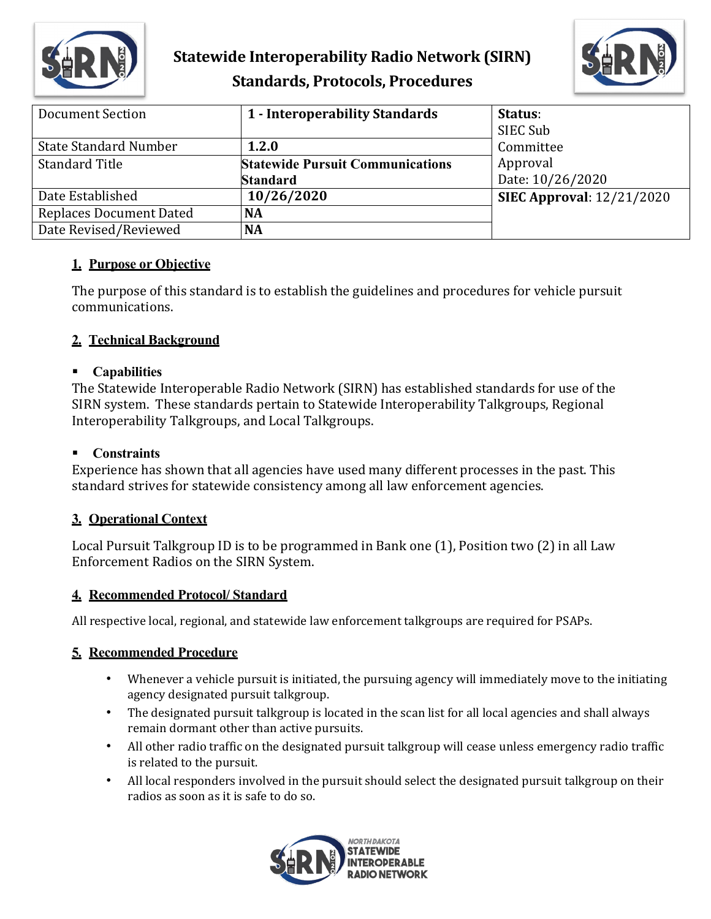

## **Statewide Interoperability Radio Network (SIRN) Standards, Protocols, Procedures**



| Document Section               | 1 - Interoperability Standards          | Status:                          |
|--------------------------------|-----------------------------------------|----------------------------------|
|                                |                                         | SIEC Sub                         |
| <b>State Standard Number</b>   | 1.2.0                                   | Committee                        |
| <b>Standard Title</b>          | <b>Statewide Pursuit Communications</b> | Approval                         |
|                                | <b>Standard</b>                         | Date: 10/26/2020                 |
| Date Established               | 10/26/2020                              | <b>SIEC Approval: 12/21/2020</b> |
| <b>Replaces Document Dated</b> | <b>NA</b>                               |                                  |
| Date Revised/Reviewed          | <b>NA</b>                               |                                  |

#### **1. Purpose or Objective**

The purpose of this standard is to establish the guidelines and procedures for vehicle pursuit communications.

### **2. Technical Background**

#### **Capabilities**

The Statewide Interoperable Radio Network (SIRN) has established standards for use of the SIRN system. These standards pertain to Statewide Interoperability Talkgroups, Regional Interoperability Talkgroups, and Local Talkgroups.

#### **Constraints**

Experience has shown that all agencies have used many different processes in the past. This standard strives for statewide consistency among all law enforcement agencies.

#### **3. Operational Context**

Local Pursuit Talkgroup ID is to be programmed in Bank one (1), Position two (2) in all Law Enforcement Radios on the SIRN System.

#### **4. Recommended Protocol/ Standard**

All respective local, regional, and statewide law enforcement talkgroups are required for PSAPs.

#### **5. Recommended Procedure**

- Whenever a vehicle pursuit is initiated, the pursuing agency will immediately move to the initiating agency designated pursuit talkgroup.
- The designated pursuit talkgroup is located in the scan list for all local agencies and shall always remain dormant other than active pursuits.
- All other radio traffic on the designated pursuit talkgroup will cease unless emergency radio traffic is related to the pursuit.
- All local responders involved in the pursuit should select the designated pursuit talkgroup on their radios as soon as it is safe to do so.